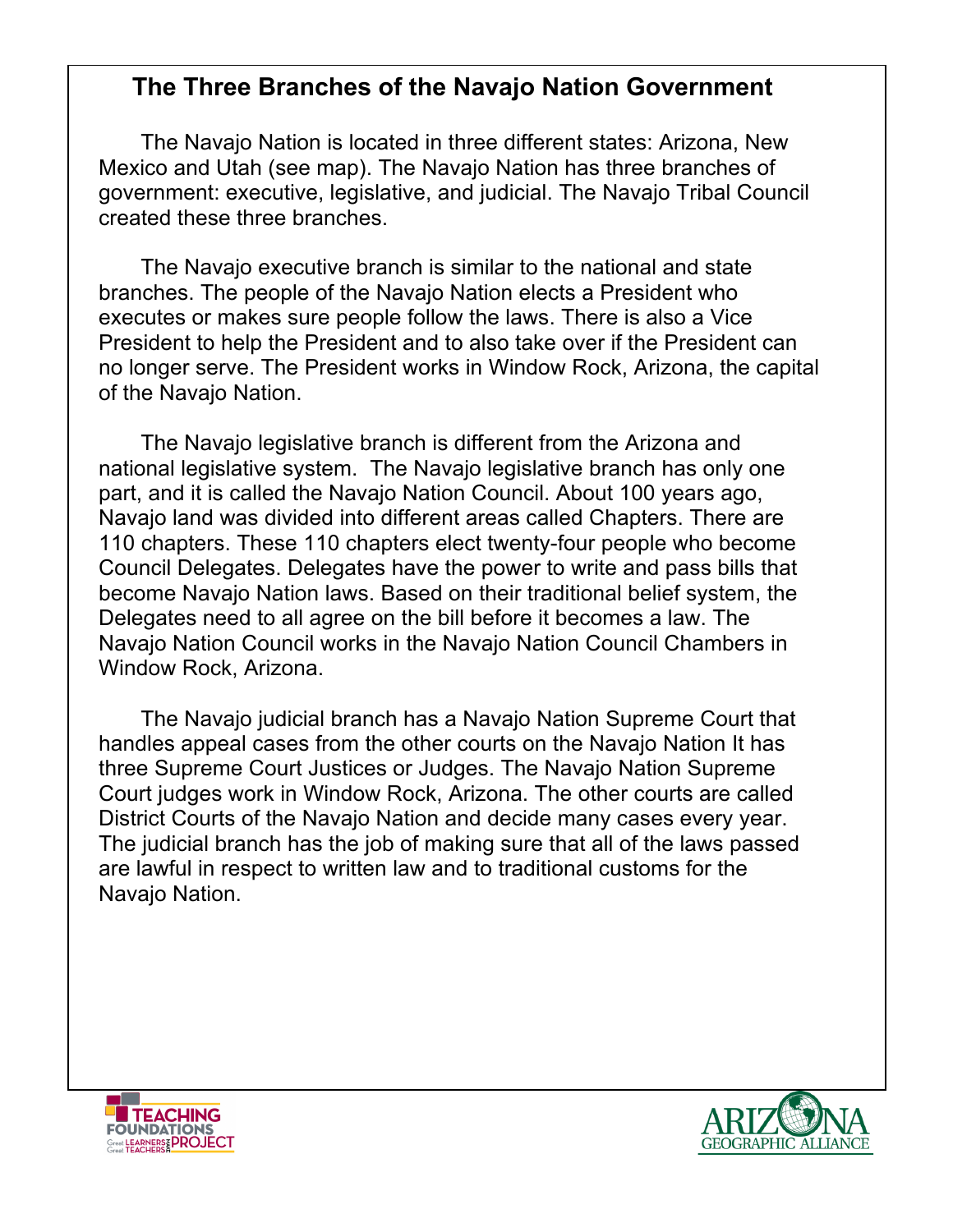# **The Three Branches of the Navajo Nation Government**

The Navajo Nation is located in three different states: Arizona, New Mexico and Utah (see map). The Navajo Nation has three branches of government: executive, legislative, and judicial. The Navajo Tribal Council created these three branches.

The Navajo executive branch is similar to the national and state branches. The people of the Navajo Nation elects a President who executes or makes sure people follow the laws. There is also a Vice President to help the President and to also take over if the President can no longer serve. The President works in Window Rock, Arizona, the capital of the Navajo Nation.

The Navajo legislative branch is different from the Arizona and national legislative system. The Navajo legislative branch has only one part, and it is called the Navajo Nation Council. About 100 years ago, Navajo land was divided into different areas called Chapters. There are 110 chapters. These 110 chapters elect twenty-four people who become Council Delegates. Delegates have the power to write and pass bills that become Navajo Nation laws. Based on their traditional belief system, the Delegates need to all agree on the bill before it becomes a law. The Navajo Nation Council works in the Navajo Nation Council Chambers in Window Rock, Arizona.

The Navajo judicial branch has a Navajo Nation Supreme Court that handles appeal cases from the other courts on the Navajo Nation It has three Supreme Court Justices or Judges. The Navajo Nation Supreme Court judges work in Window Rock, Arizona. The other courts are called District Courts of the Navajo Nation and decide many cases every year. The judicial branch has the job of making sure that all of the laws passed are lawful in respect to written law and to traditional customs for the Navajo Nation.



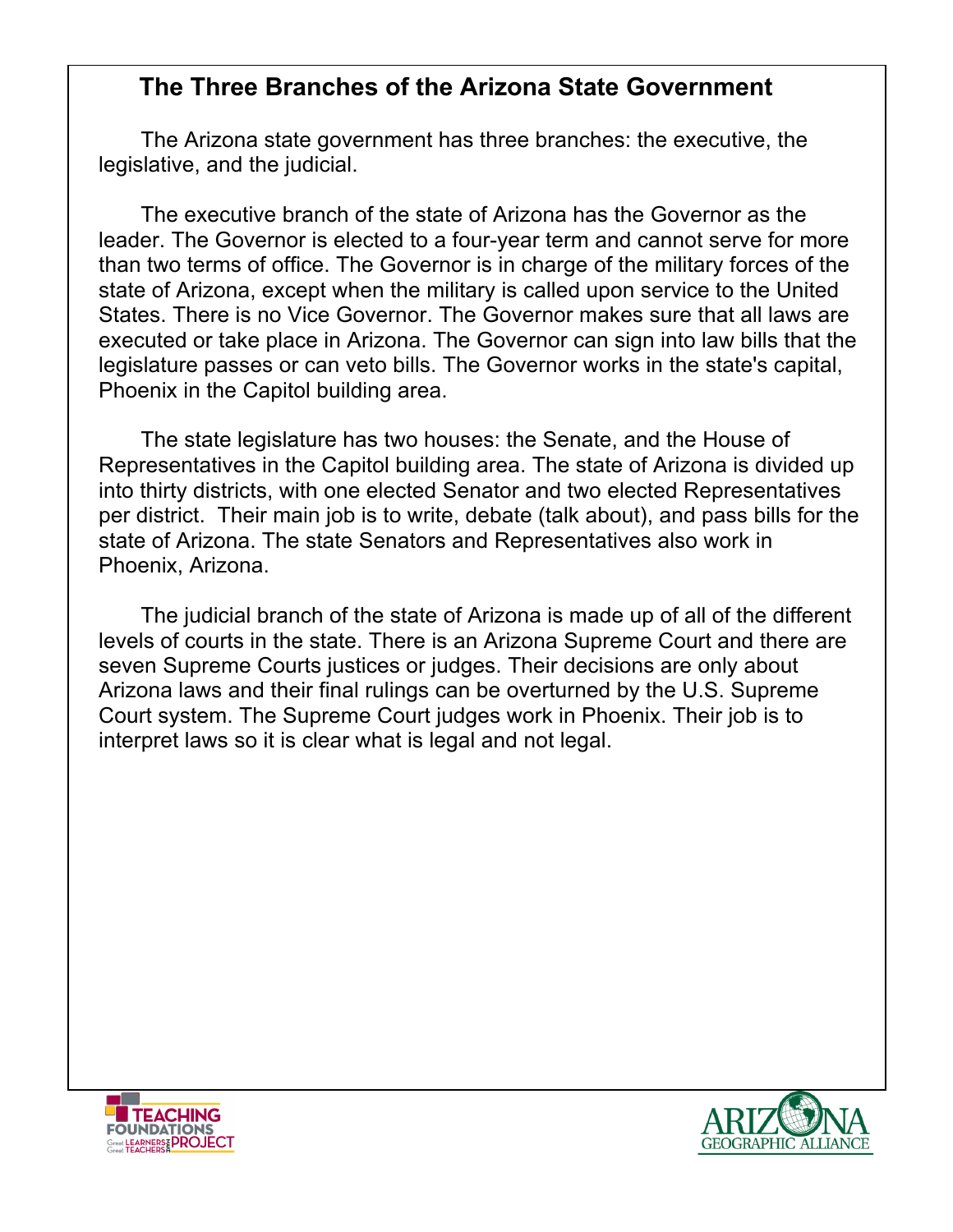# **The Three Branches of the Arizona State Government**

The Arizona state government has three branches: the executive, the legislative, and the judicial.

The executive branch of the state of Arizona has the Governor as the leader. The Governor is elected to a four-year term and cannot serve for more than two terms of office. The Governor is in charge of the military forces of the state of Arizona, except when the military is called upon service to the United States. There is no Vice Governor. The Governor makes sure that all laws are executed or take place in Arizona. The Governor can sign into law bills that the legislature passes or can veto bills. The Governor works in the state's capital, Phoenix in the Capitol building area.

The state legislature has two houses: the Senate, and the House of Representatives in the Capitol building area. The state of Arizona is divided up into thirty districts, with one elected Senator and two elected Representatives per district. Their main job is to write, debate (talk about), and pass bills for the state of Arizona. The state Senators and Representatives also work in Phoenix, Arizona.

The judicial branch of the state of Arizona is made up of all of the different levels of courts in the state. There is an Arizona Supreme Court and there are seven Supreme Courts justices or judges. Their decisions are only about Arizona laws and their final rulings can be overturned by the U.S. Supreme Court system. The Supreme Court judges work in Phoenix. Their job is to interpret laws so it is clear what is legal and not legal.



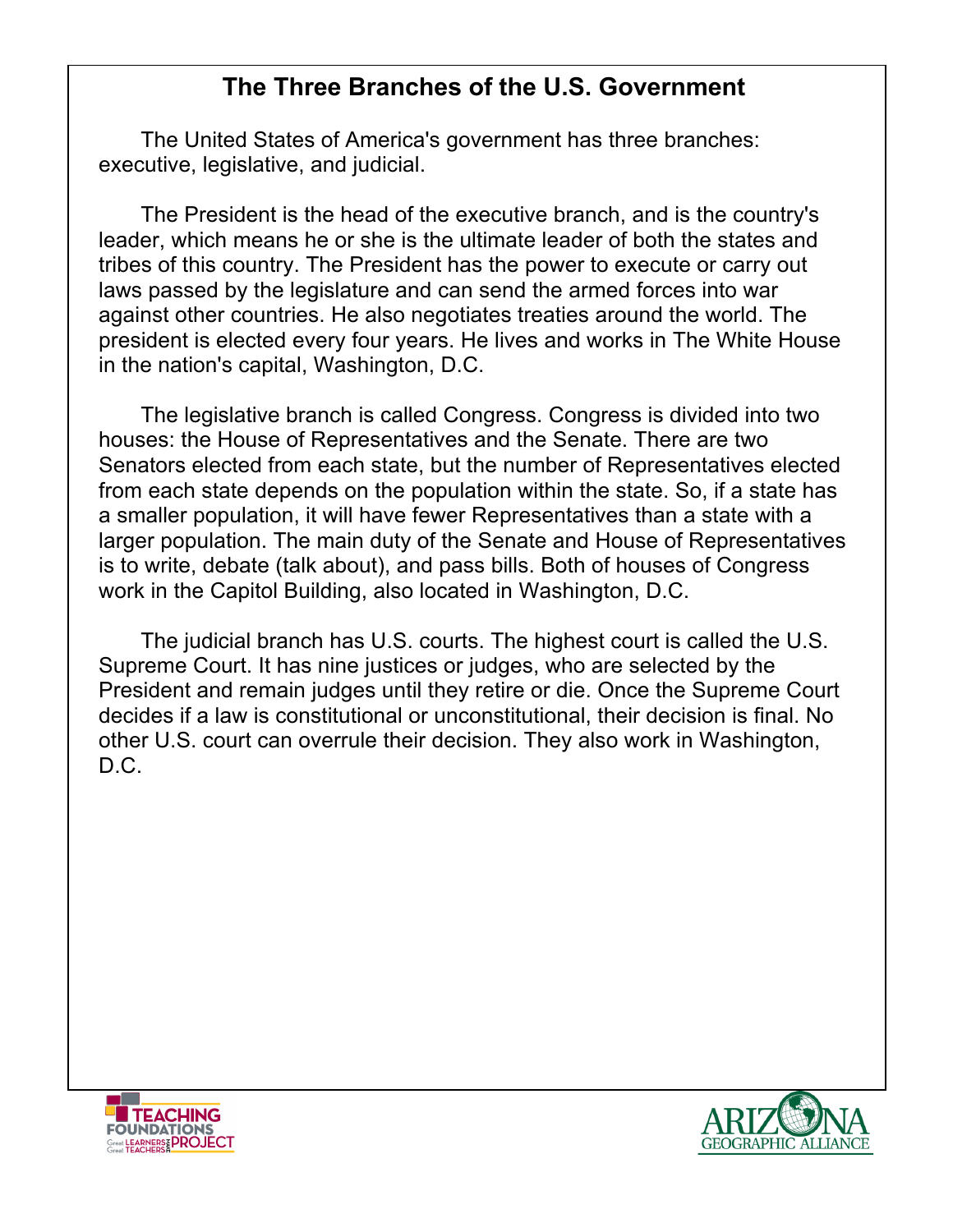# **The Three Branches of the U.S. Government**

The United States of America's government has three branches: executive, legislative, and judicial.

The President is the head of the executive branch, and is the country's leader, which means he or she is the ultimate leader of both the states and tribes of this country. The President has the power to execute or carry out laws passed by the legislature and can send the armed forces into war against other countries. He also negotiates treaties around the world. The president is elected every four years. He lives and works in The White House in the nation's capital, Washington, D.C.

The legislative branch is called Congress. Congress is divided into two houses: the House of Representatives and the Senate. There are two Senators elected from each state, but the number of Representatives elected from each state depends on the population within the state. So, if a state has a smaller population, it will have fewer Representatives than a state with a larger population. The main duty of the Senate and House of Representatives is to write, debate (talk about), and pass bills. Both of houses of Congress work in the Capitol Building, also located in Washington, D.C.

The judicial branch has U.S. courts. The highest court is called the U.S. Supreme Court. It has nine justices or judges, who are selected by the President and remain judges until they retire or die. Once the Supreme Court decides if a law is constitutional or unconstitutional, their decision is final. No other U.S. court can overrule their decision. They also work in Washington, D.C.



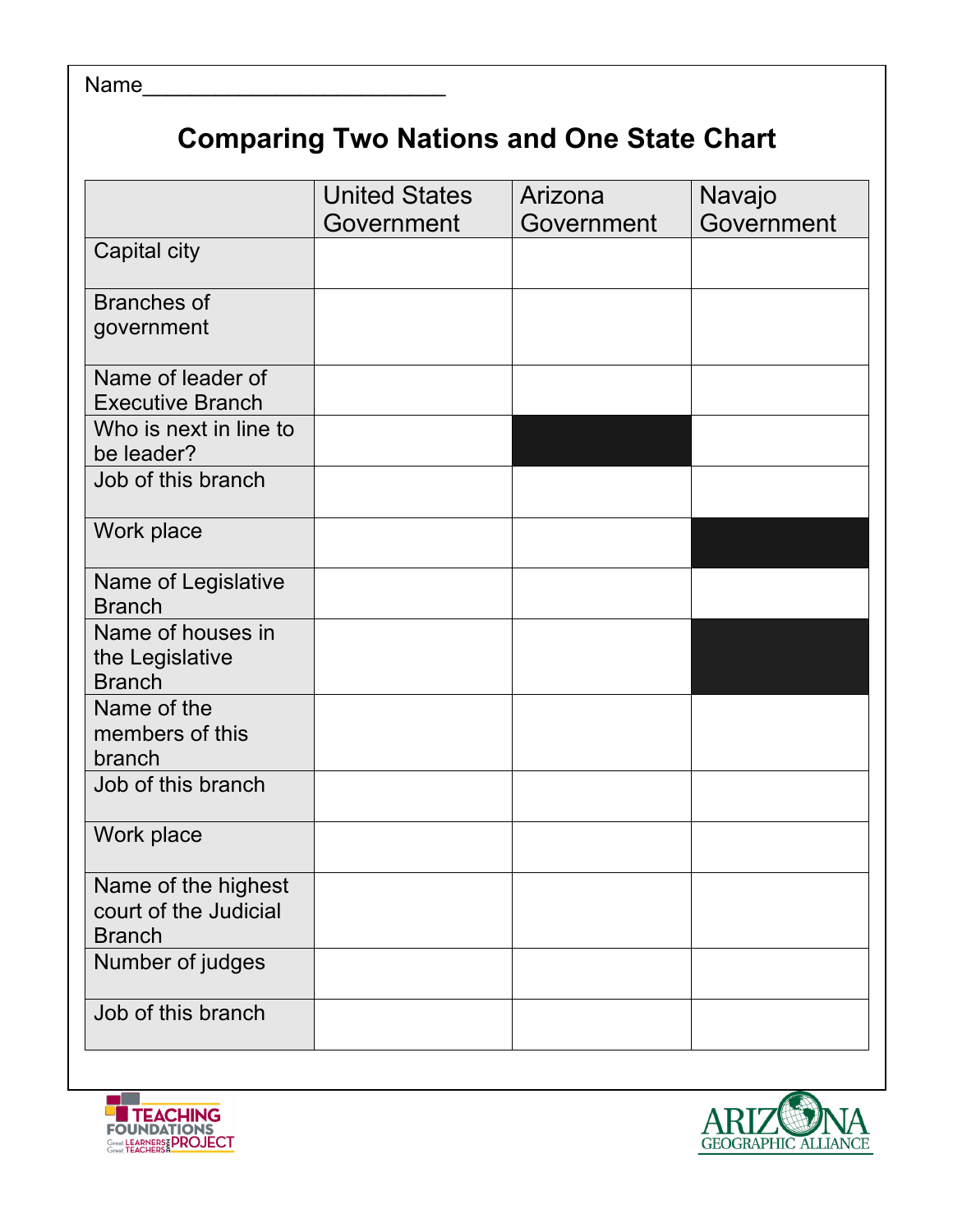Name was also as a set of the set of the set of the set of the set of the set of the set of the set of the set of the set of the set of the set of the set of the set of the set of the set of the set of the set of the set o

# **Comparing Two Nations and One State Chart**

|                                                               | <b>United States</b><br>Government | Arizona<br>Government | Navajo<br>Government |
|---------------------------------------------------------------|------------------------------------|-----------------------|----------------------|
| Capital city                                                  |                                    |                       |                      |
| <b>Branches of</b><br>government                              |                                    |                       |                      |
| Name of leader of<br><b>Executive Branch</b>                  |                                    |                       |                      |
| Who is next in line to<br>be leader?                          |                                    |                       |                      |
| Job of this branch                                            |                                    |                       |                      |
| Work place                                                    |                                    |                       |                      |
| Name of Legislative<br><b>Branch</b>                          |                                    |                       |                      |
| Name of houses in<br>the Legislative<br><b>Branch</b>         |                                    |                       |                      |
| Name of the<br>members of this<br>branch                      |                                    |                       |                      |
| Job of this branch                                            |                                    |                       |                      |
| Work place                                                    |                                    |                       |                      |
| Name of the highest<br>court of the Judicial<br><b>Branch</b> |                                    |                       |                      |
| Number of judges                                              |                                    |                       |                      |
| Job of this branch                                            |                                    |                       |                      |



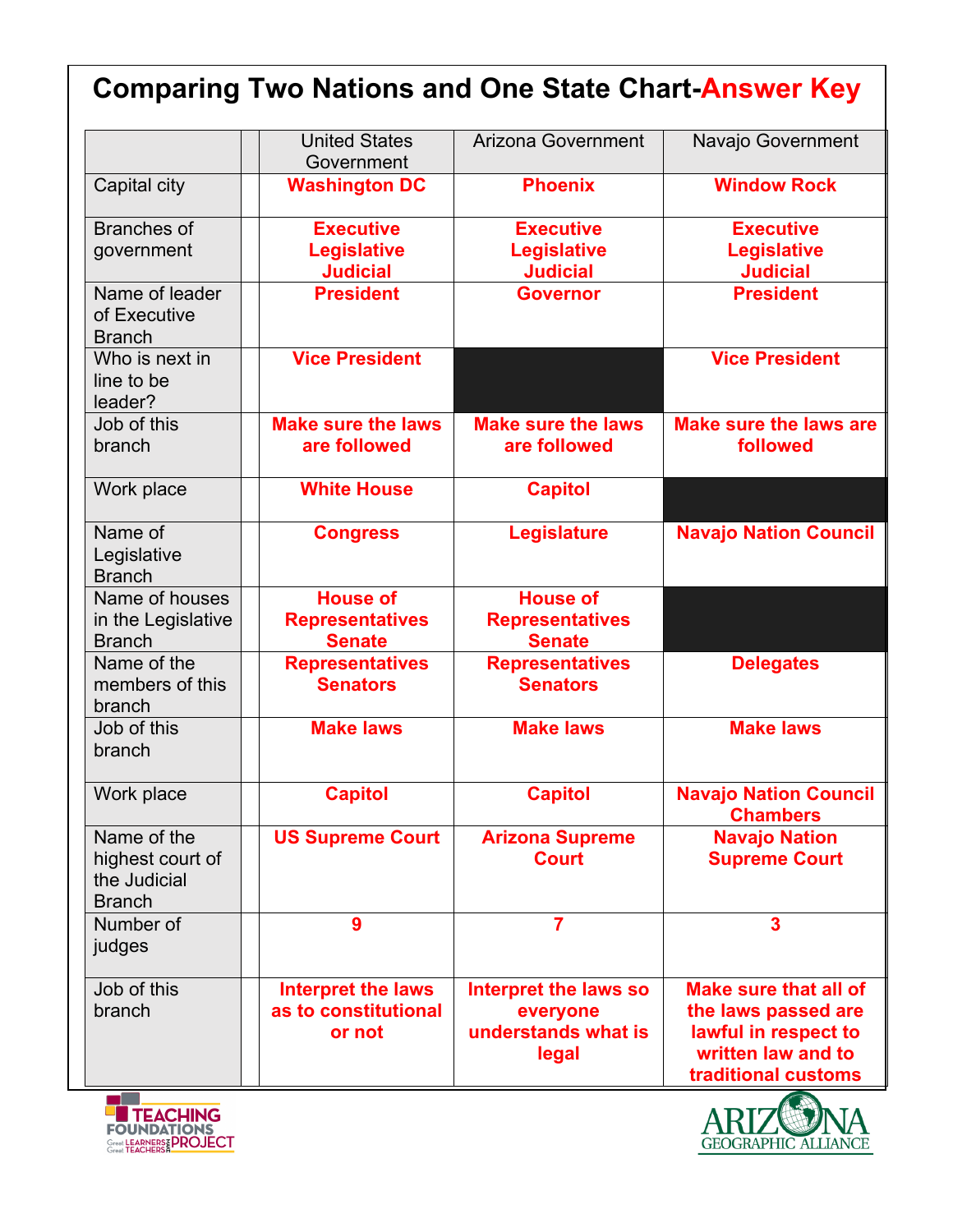| <b>Comparing Two Nations and One State Chart-Answer Key</b>      |                                                             |                                                                   |                                                                                                                                 |  |
|------------------------------------------------------------------|-------------------------------------------------------------|-------------------------------------------------------------------|---------------------------------------------------------------------------------------------------------------------------------|--|
|                                                                  | <b>United States</b><br>Government                          | <b>Arizona Government</b>                                         | Navajo Government                                                                                                               |  |
| Capital city                                                     | <b>Washington DC</b>                                        | <b>Phoenix</b>                                                    | <b>Window Rock</b>                                                                                                              |  |
| Branches of<br>government                                        | <b>Executive</b><br><b>Legislative</b><br><b>Judicial</b>   | <b>Executive</b><br><b>Legislative</b><br><b>Judicial</b>         | <b>Executive</b><br><b>Legislative</b><br><b>Judicial</b>                                                                       |  |
| Name of leader<br>of Executive<br><b>Branch</b>                  | <b>President</b>                                            | <b>Governor</b>                                                   | <b>President</b>                                                                                                                |  |
| Who is next in<br>line to be<br>leader?                          | <b>Vice President</b>                                       |                                                                   | <b>Vice President</b>                                                                                                           |  |
| Job of this<br>branch                                            | <b>Make sure the laws</b><br>are followed                   | <b>Make sure the laws</b><br>are followed                         | <b>Make sure the laws are</b><br>followed                                                                                       |  |
| Work place                                                       | <b>White House</b>                                          | <b>Capitol</b>                                                    |                                                                                                                                 |  |
| Name of<br>Legislative<br><b>Branch</b>                          | <b>Congress</b>                                             | <b>Legislature</b>                                                | <b>Navajo Nation Council</b>                                                                                                    |  |
| Name of houses<br>in the Legislative<br><b>Branch</b>            | <b>House of</b><br><b>Representatives</b><br><b>Senate</b>  | <b>House of</b><br><b>Representatives</b><br><b>Senate</b>        |                                                                                                                                 |  |
| Name of the<br>members of this<br>branch                         | <b>Representatives</b><br><b>Senators</b>                   | <b>Representatives</b><br><b>Senators</b>                         | <b>Delegates</b>                                                                                                                |  |
| Job of this<br>branch                                            | <b>Make laws</b>                                            | <b>Make laws</b>                                                  | <b>Make laws</b>                                                                                                                |  |
| Work place                                                       | <b>Capitol</b>                                              | <b>Capitol</b>                                                    | <b>Navajo Nation Council</b><br><b>Chambers</b>                                                                                 |  |
| Name of the<br>highest court of<br>the Judicial<br><b>Branch</b> | <b>US Supreme Court</b>                                     | <b>Arizona Supreme</b><br><b>Court</b>                            | <b>Navajo Nation</b><br><b>Supreme Court</b>                                                                                    |  |
| Number of<br>judges                                              | 9                                                           | $\overline{7}$                                                    | $\overline{\mathbf{3}}$                                                                                                         |  |
| Job of this<br>branch                                            | <b>Interpret the laws</b><br>as to constitutional<br>or not | Interpret the laws so<br>everyone<br>understands what is<br>legal | <b>Make sure that all of</b><br>the laws passed are<br>lawful in respect to<br>written law and to<br><b>traditional customs</b> |  |



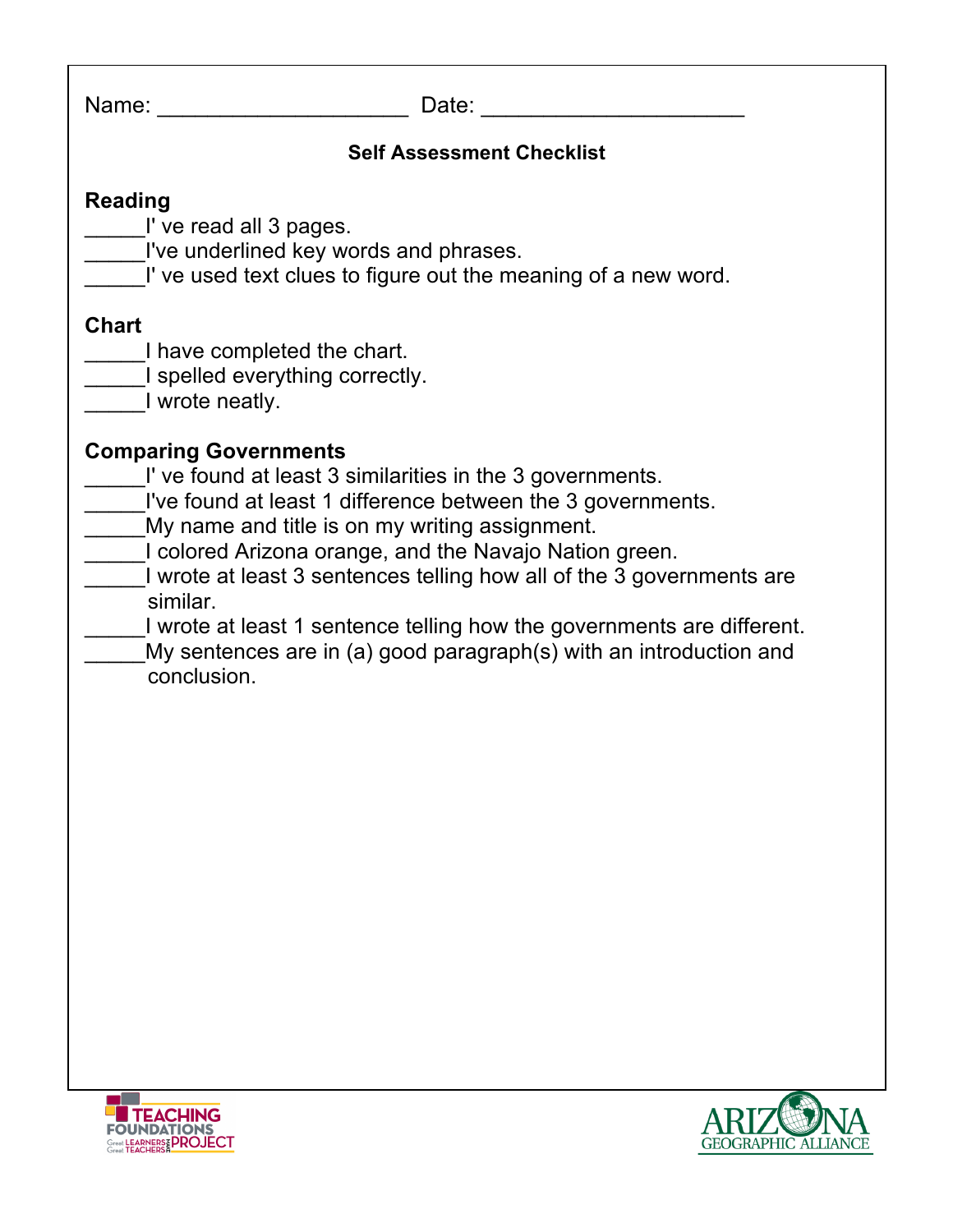Name: \_\_\_\_\_\_\_\_\_\_\_\_\_\_\_\_\_\_\_\_ Date: \_\_\_\_\_\_\_\_\_\_\_\_\_\_\_\_\_\_\_\_\_

#### **Self Assessment Checklist**

#### **Reading**

I' ve read all 3 pages.

I've underlined key words and phrases.

I' ve used text clues to figure out the meaning of a new word.

### **Chart**

I have completed the chart.

I spelled everything correctly.

I wrote neatly.

## **Comparing Governments**

- I' ve found at least 3 similarities in the 3 governments.
- I've found at least 1 difference between the 3 governments.
- My name and title is on my writing assignment.
- I colored Arizona orange, and the Navajo Nation green.
- I wrote at least 3 sentences telling how all of the 3 governments are similar.

I wrote at least 1 sentence telling how the governments are different.

My sentences are in (a) good paragraph(s) with an introduction and conclusion.



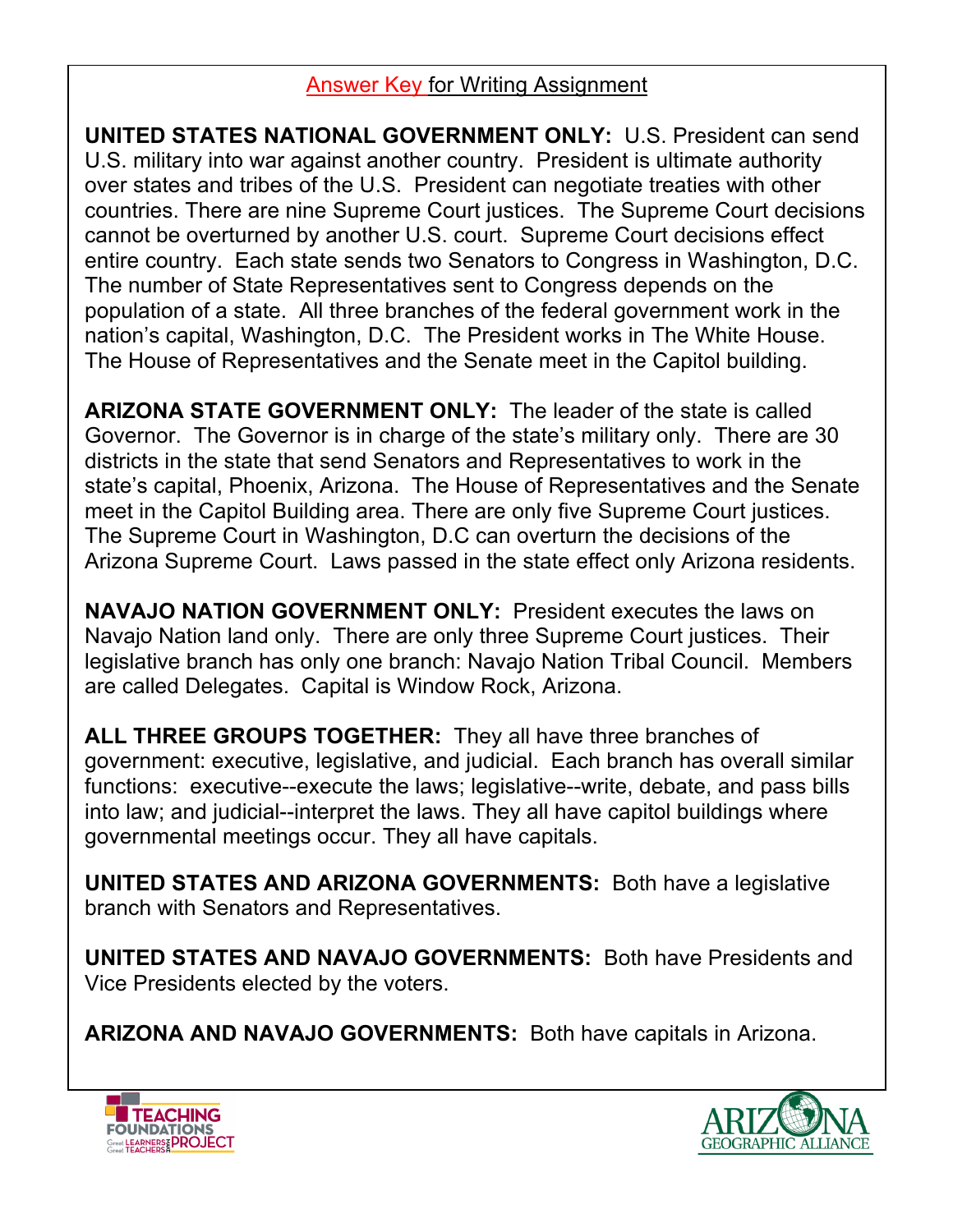## Answer Key for Writing Assignment

**UNITED STATES NATIONAL GOVERNMENT ONLY:** U.S. President can send U.S. military into war against another country. President is ultimate authority over states and tribes of the U.S. President can negotiate treaties with other countries. There are nine Supreme Court justices. The Supreme Court decisions cannot be overturned by another U.S. court. Supreme Court decisions effect entire country. Each state sends two Senators to Congress in Washington, D.C. The number of State Representatives sent to Congress depends on the population of a state. All three branches of the federal government work in the nation's capital, Washington, D.C. The President works in The White House. The House of Representatives and the Senate meet in the Capitol building.

**ARIZONA STATE GOVERNMENT ONLY:** The leader of the state is called Governor. The Governor is in charge of the state's military only. There are 30 districts in the state that send Senators and Representatives to work in the state's capital, Phoenix, Arizona. The House of Representatives and the Senate meet in the Capitol Building area. There are only five Supreme Court justices. The Supreme Court in Washington, D.C can overturn the decisions of the Arizona Supreme Court. Laws passed in the state effect only Arizona residents.

**NAVAJO NATION GOVERNMENT ONLY:** President executes the laws on Navajo Nation land only. There are only three Supreme Court justices. Their legislative branch has only one branch: Navajo Nation Tribal Council. Members are called Delegates. Capital is Window Rock, Arizona.

**ALL THREE GROUPS TOGETHER:** They all have three branches of government: executive, legislative, and judicial. Each branch has overall similar functions: executive--execute the laws; legislative--write, debate, and pass bills into law; and judicial--interpret the laws. They all have capitol buildings where governmental meetings occur. They all have capitals.

**UNITED STATES AND ARIZONA GOVERNMENTS:** Both have a legislative branch with Senators and Representatives.

**UNITED STATES AND NAVAJO GOVERNMENTS:** Both have Presidents and Vice Presidents elected by the voters.

**ARIZONA AND NAVAJO GOVERNMENTS:** Both have capitals in Arizona.



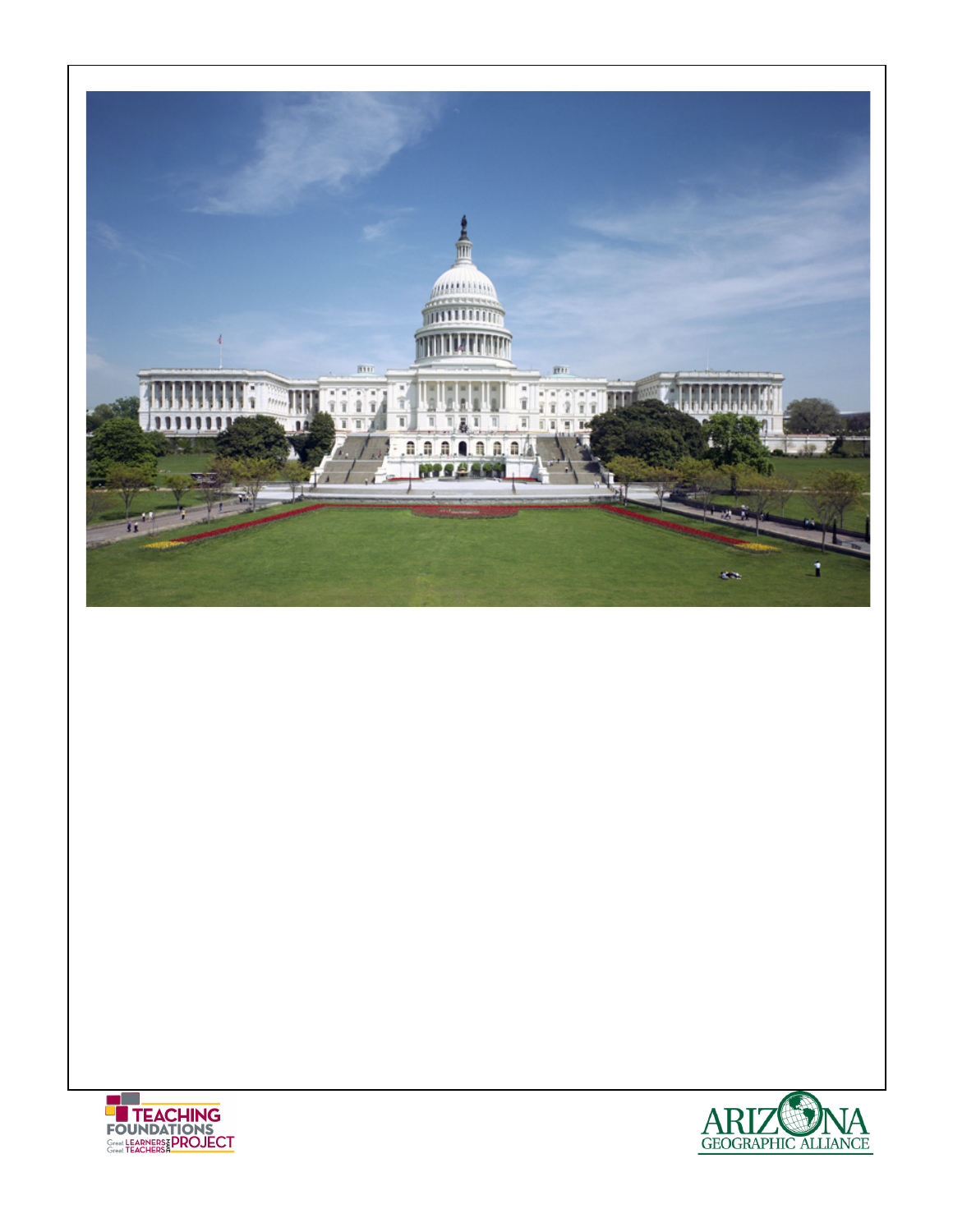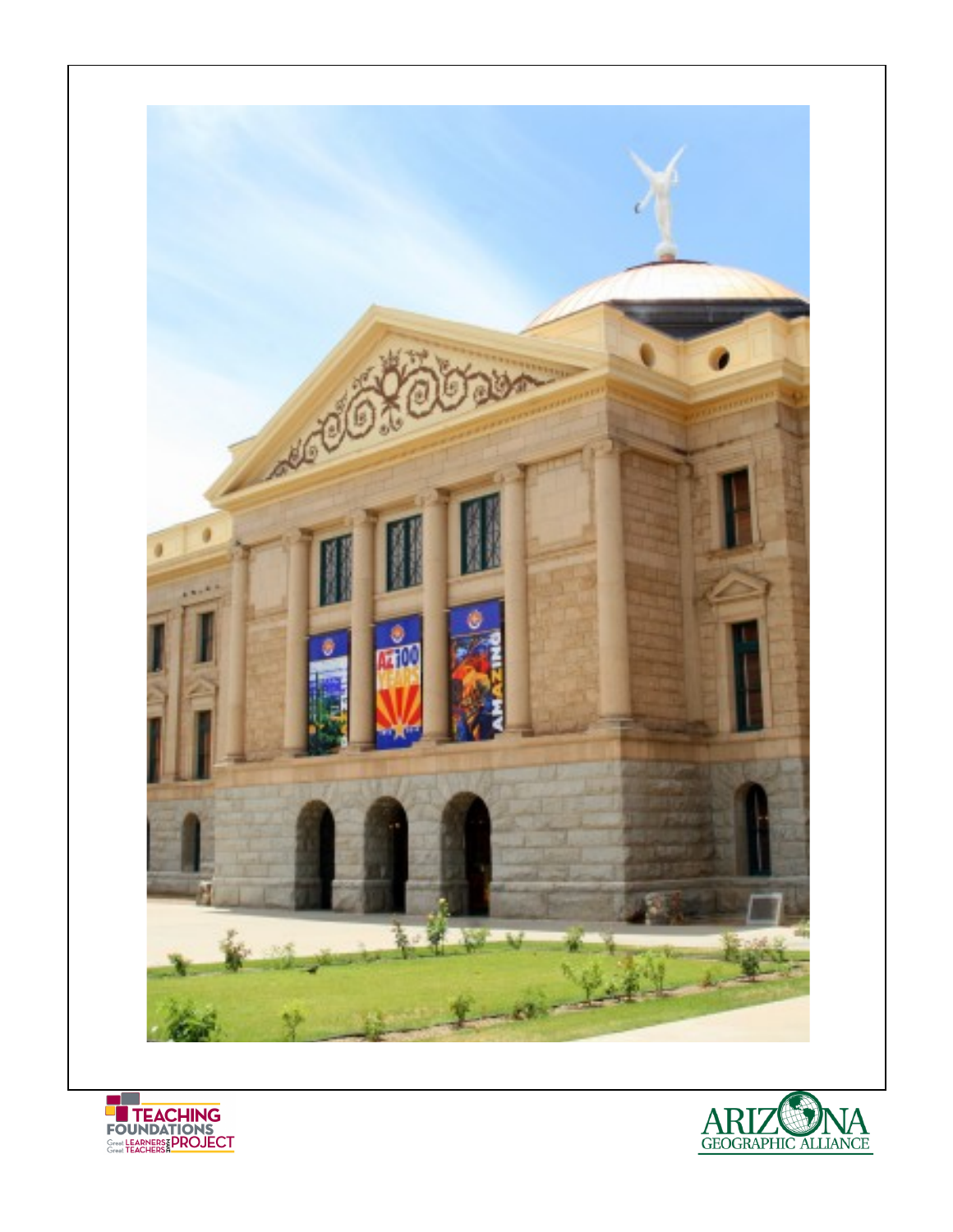